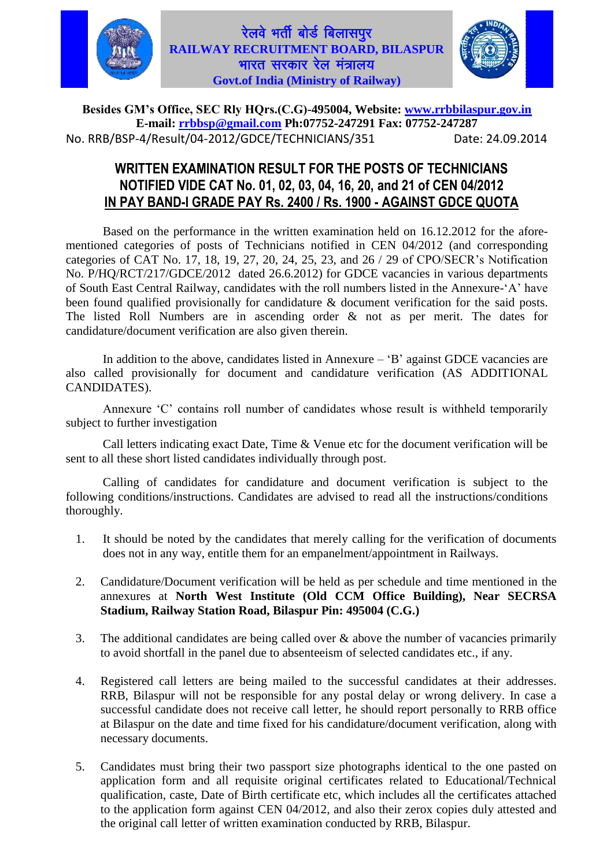

#### रेलवे भर्ती बोर्ड बिलासपुर **RAILWAY RECRUITMENT BOARD, BILASPUR** भारत सरकार रेल मंत्रालय $\overline{\mathbf{a}}$ **Govt.of India (Ministry of Railway)**



**Besides GM"s Office, SEC Rly HQrs.(C.G)-495004, Website: [www.rrbbilaspur.gov.in](http://www.rrbbilaspur.gov.in/)  E-mail: [rrbbsp@gmail.com](mailto:rrbbsp@gmail.com) Ph:07752-247291 Fax: 07752-247287** No. RRB/BSP-4/Result/04-2012/GDCE/TECHNICIANS/351 Date: 24.09.2014

#### **WRITTEN EXAMINATION RESULT FOR THE POSTS OF TECHNICIANS NOTIFIED VIDE CAT No. 01, 02, 03, 04, 16, 20, and 21 of CEN 04/2012 IN PAY BAND-I GRADE PAY Rs. 2400 / Rs. 1900 - AGAINST GDCE QUOTA**

Based on the performance in the written examination held on 16.12.2012 for the aforementioned categories of posts of Technicians notified in CEN 04/2012 (and corresponding categories of CAT No. 17, 18, 19, 27, 20, 24, 25, 23, and 26 / 29 of CPO/SECR's Notification No. P/HQ/RCT/217/GDCE/2012 dated 26.6.2012) for GDCE vacancies in various departments of South East Central Railway, candidates with the roll numbers listed in the Annexure-'A' have been found qualified provisionally for candidature & document verification for the said posts. The listed Roll Numbers are in ascending order & not as per merit. The dates for candidature/document verification are also given therein.

In addition to the above, candidates listed in Annexure – 'B' against GDCE vacancies are also called provisionally for document and candidature verification (AS ADDITIONAL CANDIDATES).

Annexure 'C' contains roll number of candidates whose result is withheld temporarily subject to further investigation

Call letters indicating exact Date, Time & Venue etc for the document verification will be sent to all these short listed candidates individually through post.

Calling of candidates for candidature and document verification is subject to the following conditions/instructions. Candidates are advised to read all the instructions/conditions thoroughly.

- 1. It should be noted by the candidates that merely calling for the verification of documents does not in any way, entitle them for an empanelment/appointment in Railways.
- 2. Candidature/Document verification will be held as per schedule and time mentioned in the annexures at **North West Institute (Old CCM Office Building), Near SECRSA Stadium, Railway Station Road, Bilaspur Pin: 495004 (C.G.)**
- 3. The additional candidates are being called over  $\&$  above the number of vacancies primarily to avoid shortfall in the panel due to absenteeism of selected candidates etc., if any.
- 4. Registered call letters are being mailed to the successful candidates at their addresses. RRB, Bilaspur will not be responsible for any postal delay or wrong delivery. In case a successful candidate does not receive call letter, he should report personally to RRB office at Bilaspur on the date and time fixed for his candidature/document verification, along with necessary documents.
- 5. Candidates must bring their two passport size photographs identical to the one pasted on application form and all requisite original certificates related to Educational/Technical qualification, caste, Date of Birth certificate etc, which includes all the certificates attached to the application form against CEN 04/2012, and also their zerox copies duly attested and the original call letter of written examination conducted by RRB, Bilaspur.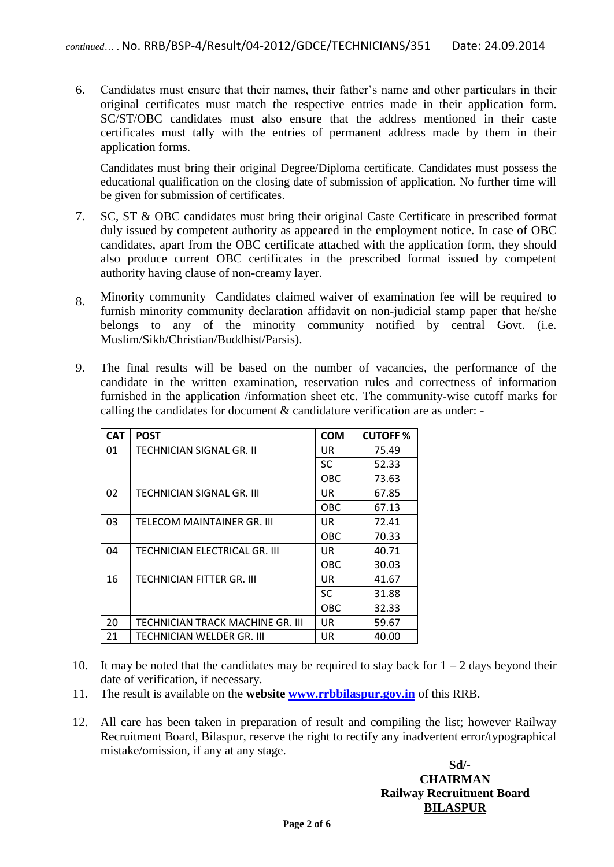6. Candidates must ensure that their names, their father's name and other particulars in their original certificates must match the respective entries made in their application form. SC/ST/OBC candidates must also ensure that the address mentioned in their caste certificates must tally with the entries of permanent address made by them in their application forms.

Candidates must bring their original Degree/Diploma certificate. Candidates must possess the educational qualification on the closing date of submission of application. No further time will be given for submission of certificates.

- 7. SC, ST & OBC candidates must bring their original Caste Certificate in prescribed format duly issued by competent authority as appeared in the employment notice. In case of OBC candidates, apart from the OBC certificate attached with the application form, they should also produce current OBC certificates in the prescribed format issued by competent authority having clause of non-creamy layer.
- 8. Minority community Candidates claimed waiver of examination fee will be required to furnish minority community declaration affidavit on non-judicial stamp paper that he/she belongs to any of the minority community notified by central Govt. (i.e. Muslim/Sikh/Christian/Buddhist/Parsis).
- 9. The final results will be based on the number of vacancies, the performance of the candidate in the written examination, reservation rules and correctness of information furnished in the application /information sheet etc. The community-wise cutoff marks for calling the candidates for document & candidature verification are as under: -

| <b>CAT</b> | <b>POST</b>                      | <b>COM</b> | <b>CUTOFF%</b> |
|------------|----------------------------------|------------|----------------|
| 01         | TECHNICIAN SIGNAL GR. II         | UR         | 75.49          |
|            |                                  | <b>SC</b>  | 52.33          |
|            |                                  | OBC        | 73.63          |
| 02         | TECHNICIAN SIGNAL GR. III        | UR         | 67.85          |
|            |                                  | <b>OBC</b> | 67.13          |
| 03         | TELECOM MAINTAINER GR. III       | UR         | 72.41          |
|            |                                  | <b>OBC</b> | 70.33          |
| 04         | TECHNICIAN ELECTRICAL GR. III    | UR         | 40.71          |
|            |                                  | <b>OBC</b> | 30.03          |
| 16         | TECHNICIAN FITTER GR. III        | UR         | 41.67          |
|            |                                  | <b>SC</b>  | 31.88          |
|            |                                  | <b>OBC</b> | 32.33          |
| 20         | TECHNICIAN TRACK MACHINE GR. III | UR         | 59.67          |
| 21         | TECHNICIAN WELDER GR. III        | UR         | 40.00          |

- 10. It may be noted that the candidates may be required to stay back for  $1 2$  days beyond their date of verification, if necessary.
- 11. The result is available on the **website [www.rrbbilaspur.gov.in](http://www.rrbbilaspur.gov.in/)** of this RRB.
- 12. All care has been taken in preparation of result and compiling the list; however Railway Recruitment Board, Bilaspur, reserve the right to rectify any inadvertent error/typographical mistake/omission, if any at any stage.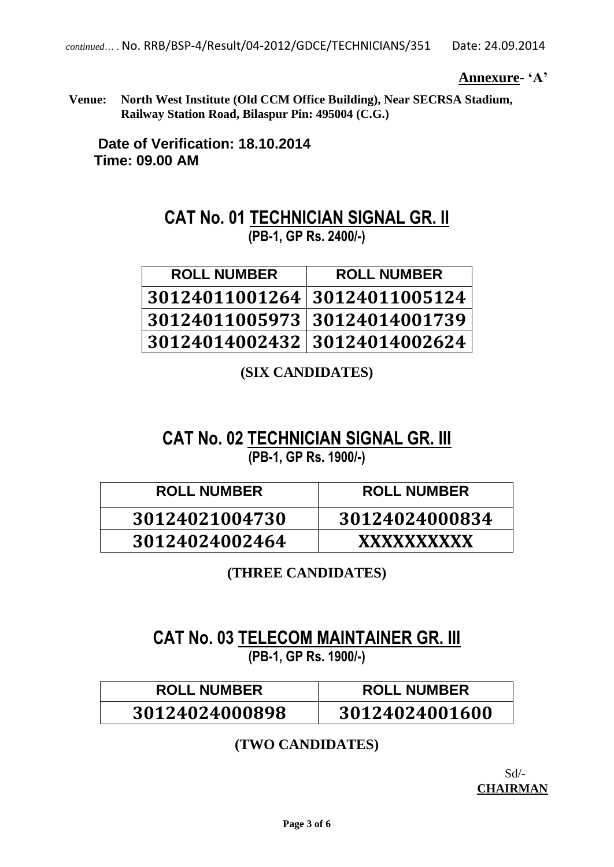**Annexure- "A"**

**Venue: North West Institute (Old CCM Office Building), Near SECRSA Stadium, Railway Station Road, Bilaspur Pin: 495004 (C.G.)**

**Date of Verification: 18.10.2014 Time: 09.00 AM**

### **CAT No. 01 TECHNICIAN SIGNAL GR. II (PB-1, GP Rs. 2400/-)**

| <b>ROLL NUMBER</b>            | <b>ROLL NUMBER</b> |
|-------------------------------|--------------------|
| 30124011001264 30124011005124 |                    |
| 30124011005973 30124014001739 |                    |
| 30124014002432 30124014002624 |                    |

**(SIX CANDIDATES)**

### **CAT No. 02 TECHNICIAN SIGNAL GR. III (PB-1, GP Rs. 1900/-)**

| <b>ROLL NUMBER</b> | <b>ROLL NUMBER</b> |
|--------------------|--------------------|
| 30124021004730     | 30124024000834     |
| 30124024002464     | <b>XXXXXXXXXX</b>  |

**(THREE CANDIDATES)**

### **CAT No. 03 TELECOM MAINTAINER GR. III (PB-1, GP Rs. 1900/-)**

| <b>ROLL NUMBER</b> | <b>ROLL NUMBER</b> |
|--------------------|--------------------|
| 30124024000898     | 30124024001600     |

#### **(TWO CANDIDATES)**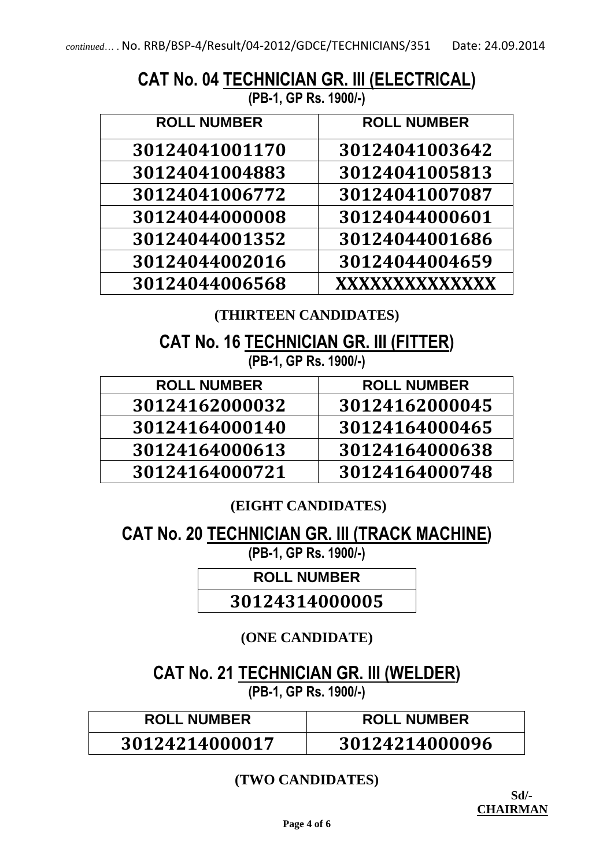## **CAT No. 04 TECHNICIAN GR. III (ELECTRICAL)**

**(PB-1, GP Rs. 1900/-)**

| <b>ROLL NUMBER</b> | <b>ROLL NUMBER</b> |
|--------------------|--------------------|
| 30124041001170     | 30124041003642     |
| 30124041004883     | 30124041005813     |
| 30124041006772     | 30124041007087     |
| 30124044000008     | 30124044000601     |
| 30124044001352     | 30124044001686     |
| 30124044002016     | 30124044004659     |
| 30124044006568     | XXXXXXXXXXXXX      |

#### **(THIRTEEN CANDIDATES)**

**CAT No. 16 TECHNICIAN GR. III (FITTER) (PB-1, GP Rs. 1900/-)**

| <b>ROLL NUMBER</b> | <b>ROLL NUMBER</b> |
|--------------------|--------------------|
| 30124162000032     | 30124162000045     |
| 30124164000140     | 30124164000465     |
| 30124164000613     | 30124164000638     |
| 30124164000721     | 30124164000748     |

### **(EIGHT CANDIDATES)**

**CAT No. 20 TECHNICIAN GR. III (TRACK MACHINE)**

**(PB-1, GP Rs. 1900/-)**

**ROLL NUMBER**

**30124314000005**

### **(ONE CANDIDATE)**

**CAT No. 21 TECHNICIAN GR. III (WELDER) (PB-1, GP Rs. 1900/-)**

| <b>ROLL NUMBER</b> | <b>ROLL NUMBER</b> |
|--------------------|--------------------|
| 30124214000017     | 30124214000096     |

### **(TWO CANDIDATES)**

**Sd/- CHAIRMAN**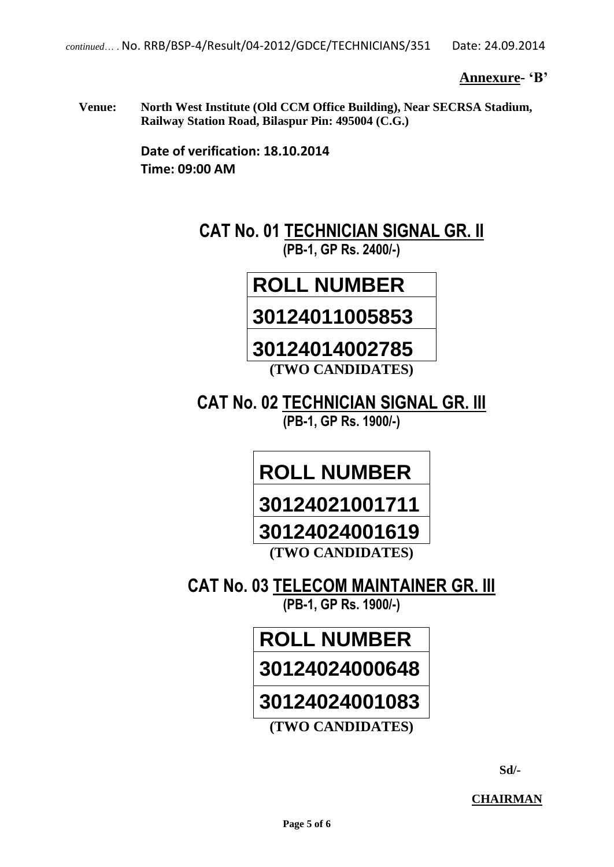**Annexure- "B"**

**Venue: North West Institute (Old CCM Office Building), Near SECRSA Stadium, Railway Station Road, Bilaspur Pin: 495004 (C.G.)**

> **Date of verification: 18.10.2014 Time: 09:00 AM**

> > **CAT No. 01 TECHNICIAN SIGNAL GR. II (PB-1, GP Rs. 2400/-)**

### **ROLL NUMBER**

### **30124011005853**

### **30124014002785 (TWO CANDIDATES)**

**CAT No. 02 TECHNICIAN SIGNAL GR. III (PB-1, GP Rs. 1900/-)**

## **ROLL NUMBER**

**30124021001711**

### **30124024001619**

**(TWO CANDIDATES)**

**CAT No. 03 TELECOM MAINTAINER GR. III (PB-1, GP Rs. 1900/-)**

## **ROLL NUMBER 30124024000648**

### **30124024001083**

**(TWO CANDIDATES)**

 **Sd/-**

**CHAIRMAN**